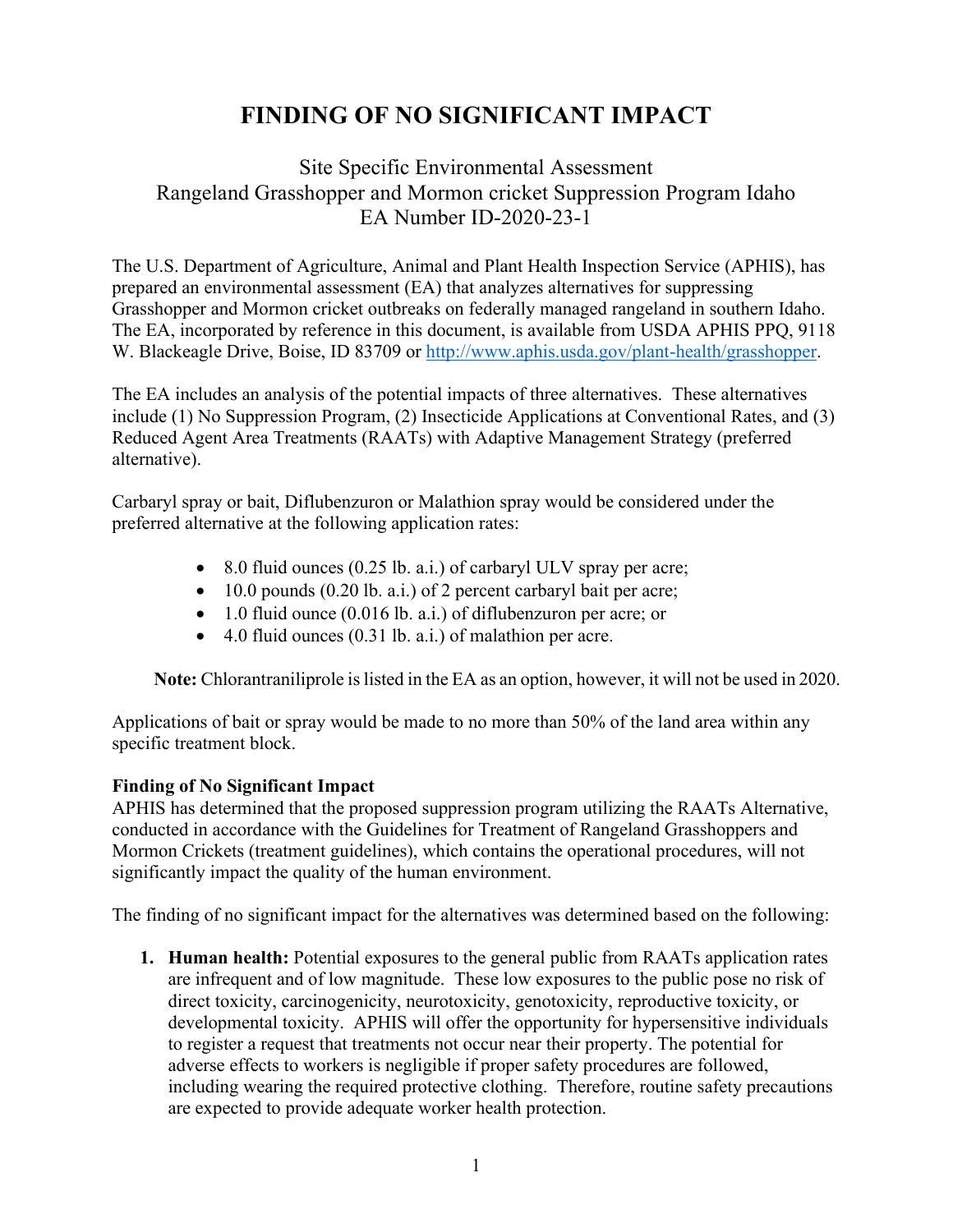## **FINDING OF NO SIGNIFICANT IMPACT**

## Site Specific Environmental Assessment Rangeland Grasshopper and Mormon cricket Suppression Program Idaho EA Number ID-2020-23-1

The U.S. Department of Agriculture, Animal and Plant Health Inspection Service (APHIS), has prepared an environmental assessment (EA) that analyzes alternatives for suppressing Grasshopper and Mormon cricket outbreaks on federally managed rangeland in southern Idaho. The EA, incorporated by reference in this document, is available from USDA APHIS PPQ, 9118 W. Blackeagle Drive, Boise, ID 83709 or [http://www.aphis.usda.gov/plant-health/grasshopper.](http://www.aphis.usda.gov/plant-health/grasshopper)

The EA includes an analysis of the potential impacts of three alternatives. These alternatives include (1) No Suppression Program, (2) Insecticide Applications at Conventional Rates, and (3) Reduced Agent Area Treatments (RAATs) with Adaptive Management Strategy (preferred alternative).

Carbaryl spray or bait, Diflubenzuron or Malathion spray would be considered under the preferred alternative at the following application rates:

- 8.0 fluid ounces (0.25 lb. a.i.) of carbaryl ULV spray per acre;
- $\bullet$  10.0 pounds (0.20 lb. a.i.) of 2 percent carbaryl bait per acre;
- 1.0 fluid ounce (0.016 lb. a.i.) of diflubenzuron per acre; or
- 4.0 fluid ounces (0.31 lb. a.i.) of malathion per acre.

**Note:** Chlorantraniliprole is listed in the EA as an option, however, it will not be used in 2020.

Applications of bait or spray would be made to no more than 50% of the land area within any specific treatment block.

## **Finding of No Significant Impact**

APHIS has determined that the proposed suppression program utilizing the RAATs Alternative, conducted in accordance with the Guidelines for Treatment of Rangeland Grasshoppers and Mormon Crickets (treatment guidelines), which contains the operational procedures, will not significantly impact the quality of the human environment.

The finding of no significant impact for the alternatives was determined based on the following:

**1. Human health:** Potential exposures to the general public from RAATs application rates are infrequent and of low magnitude. These low exposures to the public pose no risk of direct toxicity, carcinogenicity, neurotoxicity, genotoxicity, reproductive toxicity, or developmental toxicity. APHIS will offer the opportunity for hypersensitive individuals to register a request that treatments not occur near their property. The potential for adverse effects to workers is negligible if proper safety procedures are followed, including wearing the required protective clothing. Therefore, routine safety precautions are expected to provide adequate worker health protection.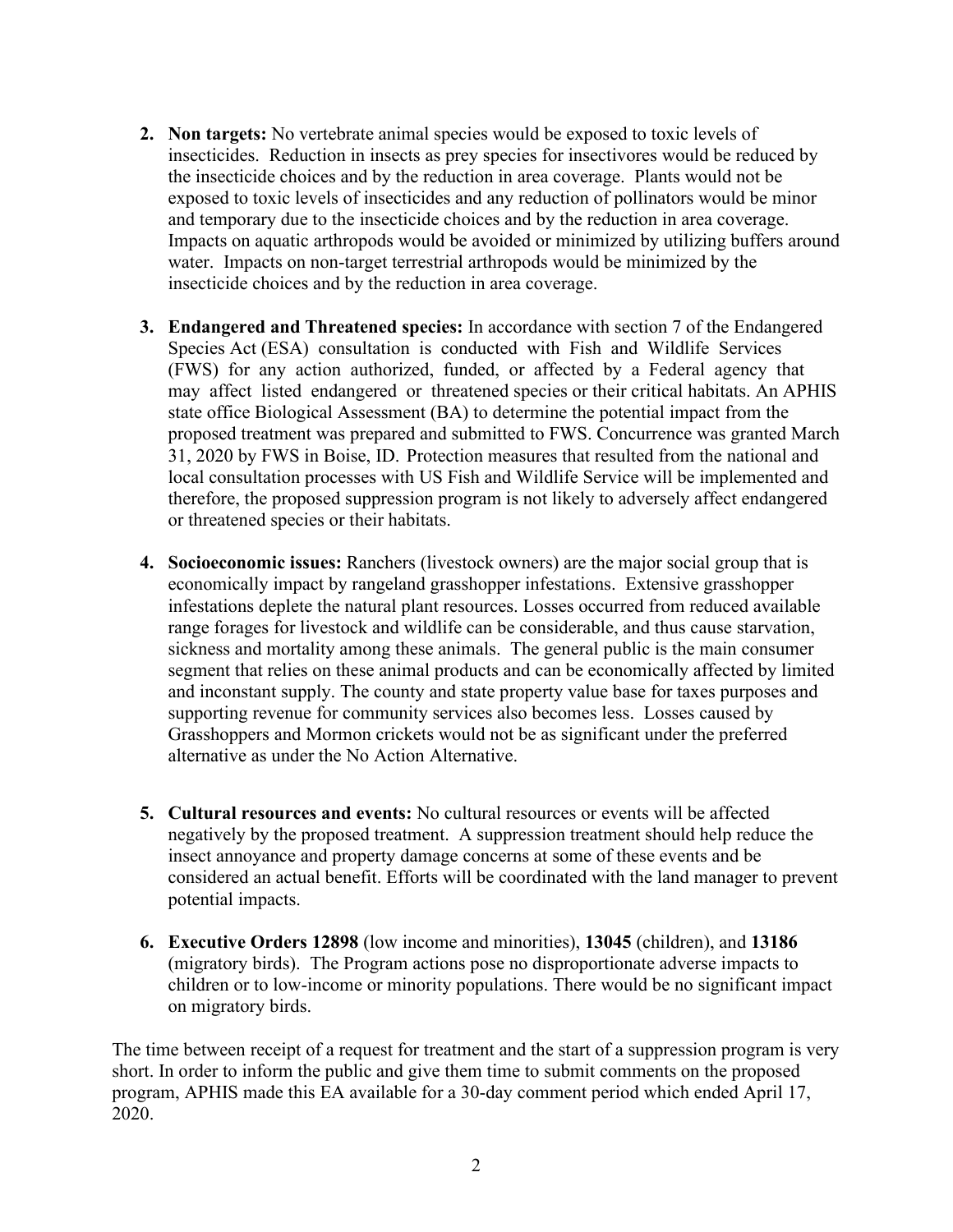- **2. Non targets:** No vertebrate animal species would be exposed to toxic levels of insecticides. Reduction in insects as prey species for insectivores would be reduced by the insecticide choices and by the reduction in area coverage. Plants would not be exposed to toxic levels of insecticides and any reduction of pollinators would be minor and temporary due to the insecticide choices and by the reduction in area coverage. Impacts on aquatic arthropods would be avoided or minimized by utilizing buffers around water. Impacts on non-target terrestrial arthropods would be minimized by the insecticide choices and by the reduction in area coverage.
- **3. Endangered and Threatened species:** In accordance with section 7 of the Endangered Species Act (ESA) consultation is conducted with Fish and Wildlife Services (FWS) for any action authorized, funded, or affected by a Federal agency that may affect listed endangered or threatened species or their critical habitats. An APHIS state office Biological Assessment (BA) to determine the potential impact from the proposed treatment was prepared and submitted to FWS. Concurrence was granted March 31, 2020 by FWS in Boise, ID. Protection measures that resulted from the national and local consultation processes with US Fish and Wildlife Service will be implemented and therefore, the proposed suppression program is not likely to adversely affect endangered or threatened species or their habitats.
- **4. Socioeconomic issues:** Ranchers (livestock owners) are the major social group that is economically impact by rangeland grasshopper infestations. Extensive grasshopper infestations deplete the natural plant resources. Losses occurred from reduced available range forages for livestock and wildlife can be considerable, and thus cause starvation, sickness and mortality among these animals. The general public is the main consumer segment that relies on these animal products and can be economically affected by limited and inconstant supply. The county and state property value base for taxes purposes and supporting revenue for community services also becomes less. Losses caused by Grasshoppers and Mormon crickets would not be as significant under the preferred alternative as under the No Action Alternative.
- **5. Cultural resources and events:** No cultural resources or events will be affected negatively by the proposed treatment. A suppression treatment should help reduce the insect annoyance and property damage concerns at some of these events and be considered an actual benefit. Efforts will be coordinated with the land manager to prevent potential impacts.
- **6. Executive Orders 12898** (low income and minorities), **13045** (children), and **13186**  (migratory birds). The Program actions pose no disproportionate adverse impacts to children or to low-income or minority populations. There would be no significant impact on migratory birds.

The time between receipt of a request for treatment and the start of a suppression program is very short. In order to inform the public and give them time to submit comments on the proposed program, APHIS made this EA available for a 30-day comment period which ended April 17, 2020.